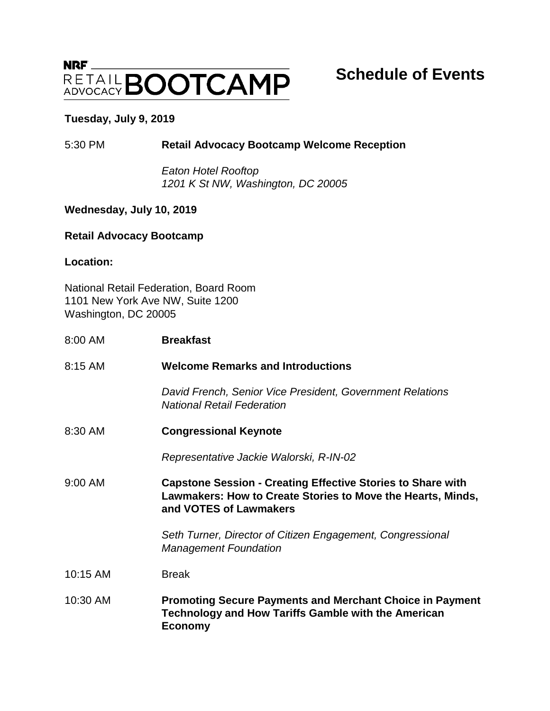# $NRF$ **RETAIL BOOTCAMP**

# **Schedule of Events**

### **Tuesday, July 9, 2019**

# 5:30 PM **Retail Advocacy Bootcamp Welcome Reception**

*Eaton Hotel Rooftop 1201 K St NW, Washington, DC 20005*

# **Wednesday, July 10, 2019**

#### **Retail Advocacy Bootcamp**

**Location:** 

National Retail Federation, Board Room 1101 New York Ave NW, Suite 1200 Washington, DC 20005

| 8:00 AM  | <b>Breakfast</b>                                                                                                                                            |
|----------|-------------------------------------------------------------------------------------------------------------------------------------------------------------|
| 8:15 AM  | <b>Welcome Remarks and Introductions</b>                                                                                                                    |
|          | David French, Senior Vice President, Government Relations<br><b>National Retail Federation</b>                                                              |
| 8:30 AM  | <b>Congressional Keynote</b>                                                                                                                                |
|          | Representative Jackie Walorski, R-IN-02                                                                                                                     |
| 9:00 AM  | <b>Capstone Session - Creating Effective Stories to Share with</b><br>Lawmakers: How to Create Stories to Move the Hearts, Minds,<br>and VOTES of Lawmakers |
|          | Seth Turner, Director of Citizen Engagement, Congressional<br><b>Management Foundation</b>                                                                  |
| 10:15 AM | <b>Break</b>                                                                                                                                                |
| 10:30 AM | <b>Promoting Secure Payments and Merchant Choice in Payment</b><br><b>Technology and How Tariffs Gamble with the American</b><br><b>Economy</b>             |